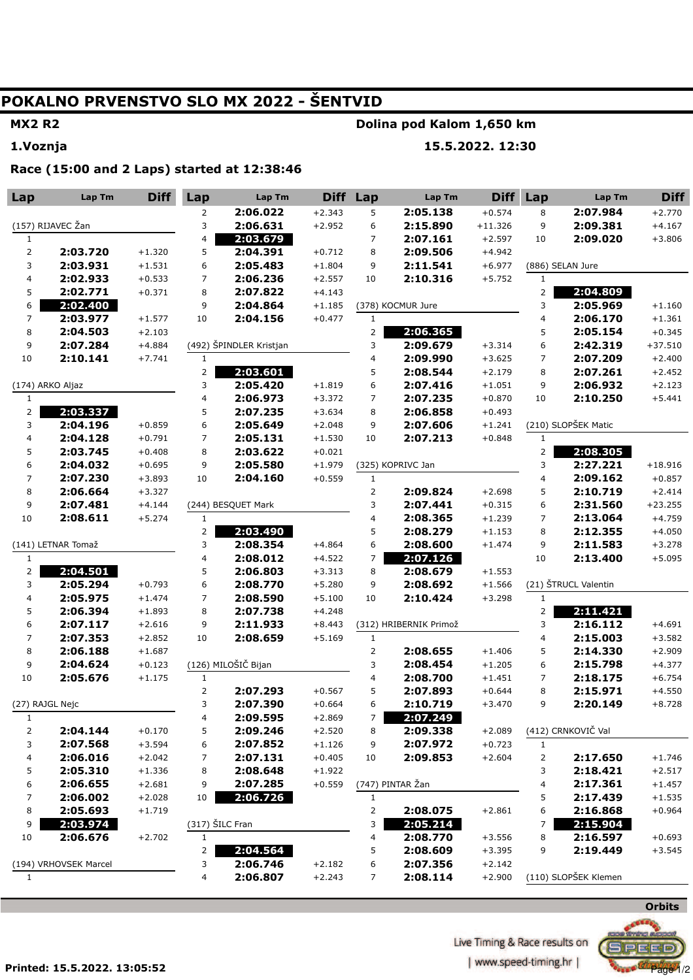# **POKALNO PRVENSTVO SLO MX 2022 - ŠENTVID**

## **MX2 R2 1.Voznja**

### **Dolina pod Kalom 1,650 km**

**15.5.2022. 12:30** 

**Race (15:00 and 2 Laps) started at 12:38:46** 

| Lap                     | Lap Tm               | <b>Diff</b>          | Lap                      | Lap Tm                  | <b>Diff</b> | Lap                 | Lap Tm                 | <b>Diff</b>          | Lap                     | Lap Tm               | <b>Diff</b>          |
|-------------------------|----------------------|----------------------|--------------------------|-------------------------|-------------|---------------------|------------------------|----------------------|-------------------------|----------------------|----------------------|
|                         |                      |                      | 2                        | 2:06.022                | $+2.343$    | 5                   | 2:05.138               | $+0.574$             | 8                       | 2:07.984             | $+2.770$             |
| (157) RIJAVEC Žan       |                      |                      | 3                        | 2:06.631                | $+2.952$    | 6                   | 2:15.890               | $+11.326$            | 9                       | 2:09.381             | $+4.167$             |
| $\mathbf{1}$            |                      |                      | 4                        | 2:03.679                |             | $\overline{7}$      | 2:07.161               | $+2.597$             | 10                      | 2:09.020             | $+3.806$             |
| $\overline{2}$          | 2:03.720             | $+1.320$             | 5                        | 2:04.391                | $+0.712$    | 8                   | 2:09.506               | $+4.942$             |                         |                      |                      |
| 3                       | 2:03.931             | $+1.531$             | 6                        | 2:05.483                | $+1.804$    | 9                   | 2:11.541               | $+6.977$             |                         | (886) SELAN Jure     |                      |
| 4                       | 2:02.933             | $+0.533$             | $\overline{7}$           | 2:06.236                | $+2.557$    | 10                  | 2:10.316               | $+5.752$             | $\mathbf{1}$            |                      |                      |
| 5                       | 2:02.771             | $+0.371$             | 8                        | 2:07.822                | $+4.143$    |                     |                        |                      | $\overline{2}$          | 2:04.809             |                      |
| 6                       | 2:02.400             |                      | 9                        | 2:04.864                | $+1.185$    |                     | (378) KOCMUR Jure      |                      | 3                       | 2:05.969             | $+1.160$             |
| $\overline{7}$          | 2:03.977             | $+1.577$             | 10                       | 2:04.156                | $+0.477$    | $\mathbf{1}$        |                        |                      | 4                       | 2:06.170             | $+1.361$             |
| 8                       | 2:04.503             | $+2.103$             |                          |                         |             | 2                   | 2:06.365               |                      | 5                       | 2:05.154             | $+0.345$             |
| 9                       | 2:07.284             | $+4.884$             |                          | (492) ŠPINDLER Kristjan |             | 3                   | 2:09.679               | $+3.314$             | 6                       | 2:42.319             | $+37.510$            |
| $10\,$                  | 2:10.141             | $+7.741$             | $\mathbf{1}$             |                         |             | 4                   | 2:09.990               | $+3.625$             | $\overline{7}$          | 2:07.209             | $+2.400$             |
|                         |                      |                      | $\overline{\mathbf{c}}$  | 2:03.601                |             | 5                   | 2:08.544               | $+2.179$             | 8                       | 2:07.261             | $+2.452$             |
|                         | (174) ARKO Aljaz     |                      | 3                        | 2:05.420                | $+1.819$    | 6                   | 2:07.416               | $+1.051$             | 9                       | 2:06.932             | $+2.123$             |
| $\mathbf{1}$            |                      |                      | 4                        | 2:06.973                | $+3.372$    | 7                   | 2:07.235               | $+0.870$             | 10                      | 2:10.250             | $+5.441$             |
| $\overline{2}$          | 2:03.337             |                      | 5                        | 2:07.235                | $+3.634$    | 8                   | 2:06.858               | $+0.493$             |                         |                      |                      |
| 3                       | 2:04.196             | $+0.859$             | 6                        | 2:05.649                | $+2.048$    | 9                   | 2:07.606               | $+1.241$             |                         | (210) SLOPŠEK Matic  |                      |
| 4                       | 2:04.128             | $+0.791$             | $\overline{7}$           | 2:05.131                | $+1.530$    | 10                  | 2:07.213               | $+0.848$             | $\mathbf{1}$            |                      |                      |
| 5                       | 2:03.745             | $+0.408$             | 8                        | 2:03.622                | $+0.021$    |                     |                        |                      | $\overline{2}$          | 2:08.305             |                      |
| 6                       | 2:04.032             | $+0.695$             | 9                        | 2:05.580                | $+1.979$    |                     | (325) KOPRIVC Jan      |                      | 3                       | 2:27.221             | $+18.916$            |
| $\overline{7}$          | 2:07.230<br>2:06.664 | $+3.893$             | 10                       | 2:04.160                | $+0.559$    | $\mathbf{1}$        | 2:09.824               |                      | 4<br>5                  | 2:09.162<br>2:10.719 | $+0.857$<br>$+2.414$ |
| 8<br>9                  | 2:07.481             | $+3.327$<br>$+4.144$ |                          | (244) BESQUET Mark      |             |                     | 2:07.441               | $+2.698$<br>$+0.315$ | 6                       | 2:31.560             | $+23.255$            |
| 10                      | 2:08.611             | $+5.274$             | $\mathbf{1}$             |                         |             | 3<br>$\overline{4}$ | 2:08.365               | $+1.239$             | $\overline{7}$          | 2:13.064             | $+4.759$             |
|                         |                      |                      | 2                        | 2:03.490                |             | 5                   | 2:08.279               | $+1.153$             | 8                       | 2:12.355             | $+4.050$             |
|                         | (141) LETNAR Tomaž   |                      | 3                        | 2:08.354                | $+4.864$    | 6                   | 2:08.600               | $+1.474$             | 9                       | 2:11.583             | $+3.278$             |
| $\mathbf{1}$            |                      |                      | 4                        | 2:08.012                | $+4.522$    | 7                   | 2:07.126               |                      | 10                      | 2:13.400             | $+5.095$             |
| 2                       | 2:04.501             |                      | 5                        | 2:06.803                | $+3.313$    | 8                   | 2:08.679               | $+1.553$             |                         |                      |                      |
| 3                       | 2:05.294             | $+0.793$             | 6                        | 2:08.770                | $+5.280$    | 9                   | 2:08.692               | $+1.566$             |                         | (21) ŠTRUCL Valentin |                      |
| 4                       | 2:05.975             | $+1.474$             | $\overline{\phantom{a}}$ | 2:08.590                | $+5.100$    | 10                  | 2:10.424               | $+3.298$             | $\mathbf{1}$            |                      |                      |
| 5                       | 2:06.394             | $+1.893$             | 8                        | 2:07.738                | $+4.248$    |                     |                        |                      | 2                       | 2:11.421             |                      |
| 6                       | 2:07.117             | $+2.616$             | 9                        | 2:11.933                | $+8.443$    |                     | (312) HRIBERNIK Primož |                      | 3                       | 2:16.112             | $+4.691$             |
| 7                       | 2:07.353             | $+2.852$             | 10                       | 2:08.659                | $+5.169$    | $\mathbf{1}$        |                        |                      | $\overline{\mathbf{4}}$ | 2:15.003             | $+3.582$             |
| 8                       | 2:06.188             | $+1.687$             |                          |                         |             | $\overline{2}$      | 2:08.655               | $+1.406$             | 5                       | 2:14.330             | $+2.909$             |
| 9                       | 2:04.624             | $+0.123$             |                          | (126) MILOŠIČ Bijan     |             | 3                   | 2:08.454               | $+1.205$             | 6                       | 2:15.798             | $+4.377$             |
| 10                      | 2:05.676             | $+1.175$             | $\mathbf{1}$             |                         |             | 4                   | 2:08.700               | $+1.451$             | $\overline{7}$          | 2:18.175             | $+6.754$             |
|                         |                      |                      | 2                        | 2:07.293                | $+0.567$    | 5                   | 2:07.893               | $+0.644$             | 8                       | 2:15.971             | $+4.550$             |
|                         | (27) RAJGL Nejc      |                      | 3                        | 2:07.390                | $+0.664$    | 6                   | 2:10.719               | $+3.470$             | 9                       | 2:20.149             | $+8.728$             |
| $\mathbf{1}$            |                      |                      | 4                        | 2:09.595                | $+2.869$    | 7                   | 2:07.249               |                      |                         |                      |                      |
| $\overline{\mathbf{c}}$ | 2:04.144             | $+0.170$             | 5                        | 2:09.246                | $+2.520$    | 8                   | 2:09.338               | $+2.089$             |                         | (412) CRNKOVIČ Val   |                      |
| 3                       | 2:07.568             | $+3.594$             | 6                        | 2:07.852                | $+1.126$    | 9                   | 2:07.972               | $+0.723$             | $\mathbf{1}$            |                      |                      |
| 4                       | 2:06.016             | $+2.042$             | 7                        | 2:07.131                | $+0.405$    | 10                  | 2:09.853               | $+2.604$             | 2                       | 2:17.650             | $+1.746$             |
| 5                       | 2:05.310             | $+1.336$             | 8                        | 2:08.648                | $+1.922$    |                     |                        |                      | 3                       | 2:18.421             | $+2.517$             |
| 6                       | 2:06.655             | $+2.681$             | 9                        | 2:07.285                | $+0.559$    |                     | (747) PINTAR Žan       |                      | 4                       | 2:17.361             | $+1.457$             |
| 7                       | 2:06.002             | $+2.028$             | 10                       | 2:06.726                |             | $\mathbf{1}$        |                        |                      | 5                       | 2:17.439             | $+1.535$             |
| 8                       | 2:05.693             | $+1.719$             |                          |                         |             | $\overline{2}$      | 2:08.075               | $+2.861$             | 6                       | 2:16.868             | $+0.964$             |
| 9                       | 2:03.974             |                      | (317) ŠILC Fran          |                         |             | 3                   | 2:05.214               |                      | 7                       | 2:15.904             |                      |
| $10\,$                  | 2:06.676             | $+2.702$             | $\mathbf{1}$             |                         |             | 4                   | 2:08.770               | $+3.556$             | 8                       | 2:16.597             | $+0.693$             |
|                         |                      |                      | 2                        | 2:04.564                |             | 5                   | 2:08.609               | $+3.395$             | 9                       | 2:19.449             | $+3.545$             |
| (194) VRHOVSEK Marcel   |                      |                      | 3                        | 2:06.746                | $+2.182$    | 6                   | 2:07.356               | $+2.142$             |                         |                      |                      |
| $\mathbf{1}$            |                      |                      | 4                        | 2:06.807                | $+2.243$    | $\overline{7}$      | 2:08.114               | $+2.900$             |                         | (110) SLOPŠEK Klemen |                      |